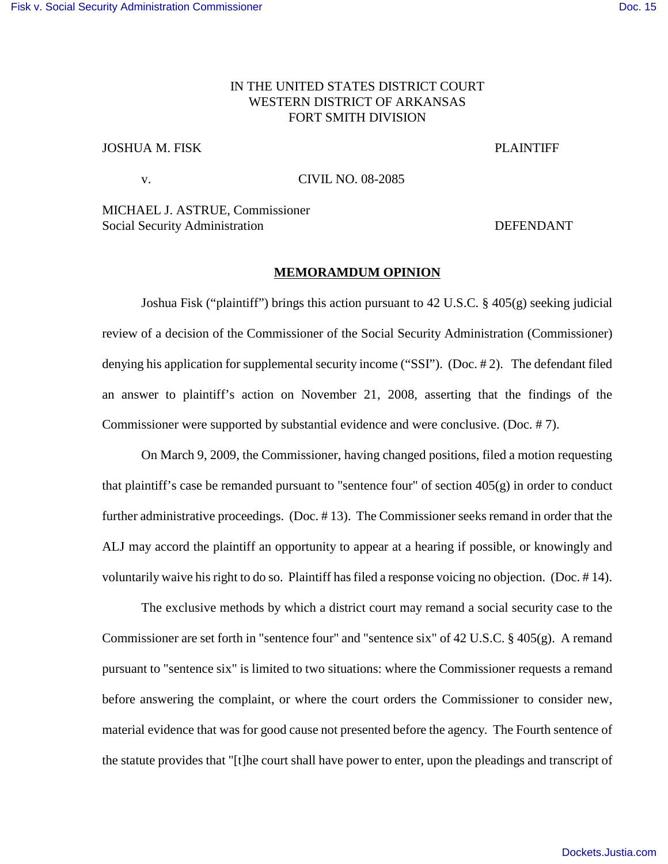# IN THE UNITED STATES DISTRICT COURT WESTERN DISTRICT OF ARKANSAS FORT SMITH DIVISION

## JOSHUA M. FISK PLAINTIFF

v. CIVIL NO. 08-2085

MICHAEL J. ASTRUE, Commissioner Social Security Administration **DEFENDANT** 

### **MEMORAMDUM OPINION**

Joshua Fisk ("plaintiff") brings this action pursuant to 42 U.S.C. § 405(g) seeking judicial review of a decision of the Commissioner of the Social Security Administration (Commissioner) denying his application for supplemental security income ("SSI"). (Doc. # 2). The defendant filed an answer to plaintiff's action on November 21, 2008, asserting that the findings of the Commissioner were supported by substantial evidence and were conclusive. (Doc. # 7).

On March 9, 2009, the Commissioner, having changed positions, filed a motion requesting that plaintiff's case be remanded pursuant to "sentence four" of section 405(g) in order to conduct further administrative proceedings. (Doc. # 13). The Commissioner seeks remand in order that the ALJ may accord the plaintiff an opportunity to appear at a hearing if possible, or knowingly and voluntarily waive his right to do so. Plaintiff has filed a response voicing no objection. (Doc. # 14).

The exclusive methods by which a district court may remand a social security case to the Commissioner are set forth in "sentence four" and "sentence six" of 42 U.S.C. § 405(g). A remand pursuant to "sentence six" is limited to two situations: where the Commissioner requests a remand before answering the complaint, or where the court orders the Commissioner to consider new, material evidence that was for good cause not presented before the agency. The Fourth sentence of the statute provides that "[t]he court shall have power to enter, upon the pleadings and transcript of